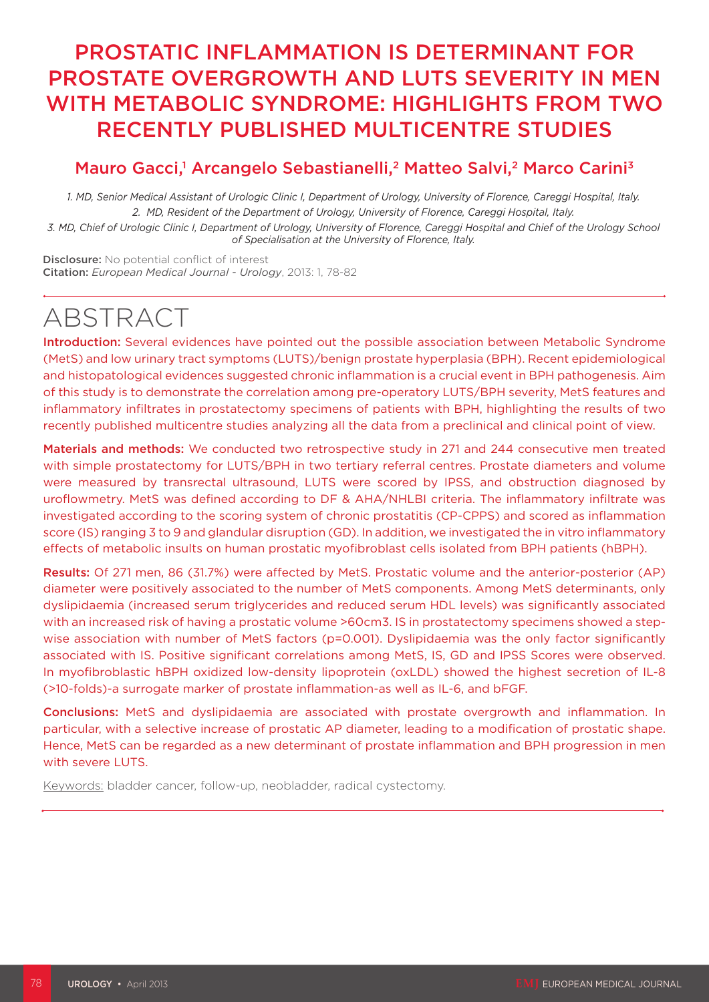## PROSTATIC INFLAMMATION IS DETERMINANT FOR PROSTATE OVERGROWTH AND LUTS SEVERITY IN MEN WITH METABOLIC SYNDROME: HIGHLIGHTS FROM TWO RECENTLY PUBLISHED MULTICENTRE STUDIES

## Mauro Gacci,<sup>1</sup> Arcangelo Sebastianelli,<sup>2</sup> Matteo Salvi,<sup>2</sup> Marco Carini<sup>3</sup>

*1. MD, Senior Medical Assistant of Urologic Clinic I, Department of Urology, University of Florence, Careggi Hospital, Italy. 2. MD, Resident of the Department of Urology, University of Florence, Careggi Hospital, Italy.*

*3. MD, Chief of Urologic Clinic I, Department of Urology, University of Florence, Careggi Hospital and Chief of the Urology School of Specialisation at the University of Florence, Italy.*

Disclosure: No potential conflict of interest Citation: *European Medical Journal - Urology*, 2013: 1, 78-82

# ABSTRACT

Introduction: Several evidences have pointed out the possible association between Metabolic Syndrome (MetS) and low urinary tract symptoms (LUTS)/benign prostate hyperplasia (BPH). Recent epidemiological and histopatological evidences suggested chronic inflammation is a crucial event in BPH pathogenesis. Aim of this study is to demonstrate the correlation among pre-operatory LUTS/BPH severity, MetS features and inflammatory infiltrates in prostatectomy specimens of patients with BPH, highlighting the results of two recently published multicentre studies analyzing all the data from a preclinical and clinical point of view.

Materials and methods: We conducted two retrospective study in 271 and 244 consecutive men treated with simple prostatectomy for LUTS/BPH in two tertiary referral centres. Prostate diameters and volume were measured by transrectal ultrasound, LUTS were scored by IPSS, and obstruction diagnosed by uroflowmetry. MetS was defined according to DF & AHA/NHLBI criteria. The inflammatory infiltrate was investigated according to the scoring system of chronic prostatitis (CP-CPPS) and scored as inflammation score (IS) ranging 3 to 9 and glandular disruption (GD). In addition, we investigated the in vitro inflammatory effects of metabolic insults on human prostatic myofibroblast cells isolated from BPH patients (hBPH).

Results: Of 271 men, 86 (31.7%) were affected by MetS. Prostatic volume and the anterior-posterior (AP) diameter were positively associated to the number of MetS components. Among MetS determinants, only dyslipidaemia (increased serum triglycerides and reduced serum HDL levels) was significantly associated with an increased risk of having a prostatic volume >60cm3. IS in prostatectomy specimens showed a stepwise association with number of MetS factors (p=0.001). Dyslipidaemia was the only factor significantly associated with IS. Positive significant correlations among MetS, IS, GD and IPSS Scores were observed. In myofibroblastic hBPH oxidized low-density lipoprotein (oxLDL) showed the highest secretion of IL-8 (>10-folds)-a surrogate marker of prostate inflammation-as well as IL-6, and bFGF.

Conclusions: MetS and dyslipidaemia are associated with prostate overgrowth and inflammation. In particular, with a selective increase of prostatic AP diameter, leading to a modification of prostatic shape. Hence, MetS can be regarded as a new determinant of prostate inflammation and BPH progression in men with severe LUTS.

Keywords: bladder cancer, follow-up, neobladder, radical cystectomy.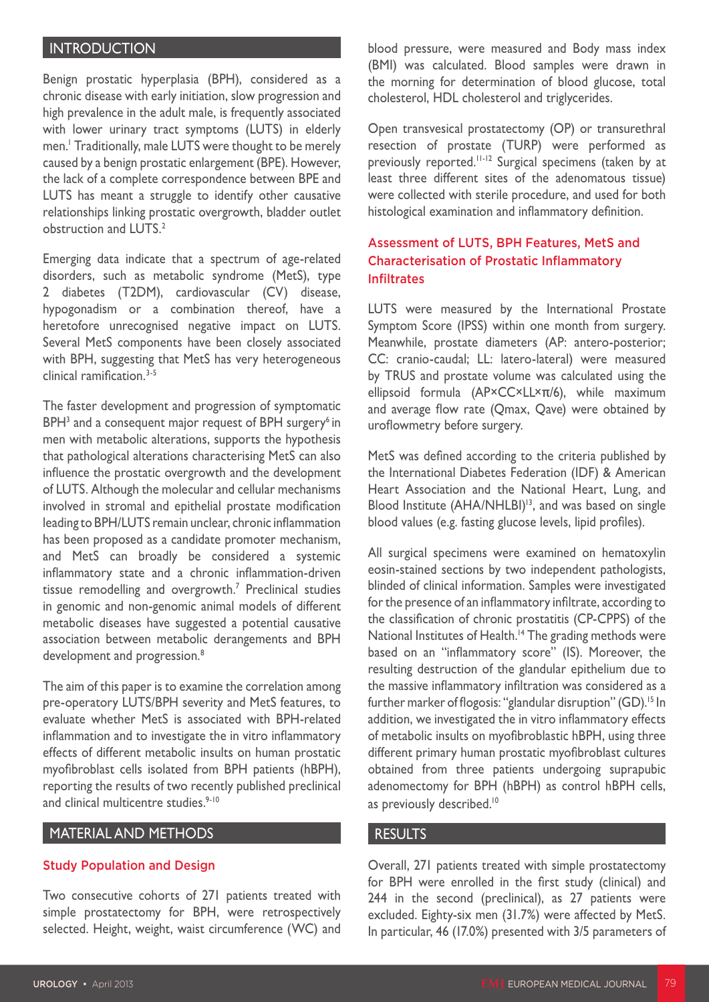#### **INTRODUCTION**

Benign prostatic hyperplasia (BPH), considered as a chronic disease with early initiation, slow progression and high prevalence in the adult male, is frequently associated with lower urinary tract symptoms (LUTS) in elderly men.1 Traditionally, male LUTS were thought to be merely caused by a benign prostatic enlargement (BPE). However, the lack of a complete correspondence between BPE and LUTS has meant a struggle to identify other causative relationships linking prostatic overgrowth, bladder outlet obstruction and LUTS.<sup>2</sup>

Emerging data indicate that a spectrum of age-related disorders, such as metabolic syndrome (MetS), type 2 diabetes (T2DM), cardiovascular (CV) disease, hypogonadism or a combination thereof, have a heretofore unrecognised negative impact on LUTS. Several MetS components have been closely associated with BPH, suggesting that MetS has very heterogeneous  $clinical$  ramification  $3-5$ 

The faster development and progression of symptomatic  $BPH<sup>3</sup>$  and a consequent major request of BPH surgery<sup>6</sup> in men with metabolic alterations, supports the hypothesis that pathological alterations characterising MetS can also influence the prostatic overgrowth and the development of LUTS. Although the molecular and cellular mechanisms involved in stromal and epithelial prostate modification leading to BPH/LUTS remain unclear, chronic inflammation has been proposed as a candidate promoter mechanism, and MetS can broadly be considered a systemic inflammatory state and a chronic inflammation-driven tissue remodelling and overgrowth.7 Preclinical studies in genomic and non-genomic animal models of different metabolic diseases have suggested a potential causative association between metabolic derangements and BPH development and progression.<sup>8</sup>

The aim of this paper is to examine the correlation among pre-operatory LUTS/BPH severity and MetS features, to evaluate whether MetS is associated with BPH-related inflammation and to investigate the in vitro inflammatory effects of different metabolic insults on human prostatic myofibroblast cells isolated from BPH patients (hBPH), reporting the results of two recently published preclinical and clinical multicentre studies.<sup>9-10</sup>

#### MATERIAL AND METHODS

#### Study Population and Design

Two consecutive cohorts of 271 patients treated with simple prostatectomy for BPH, were retrospectively selected. Height, weight, waist circumference (WC) and blood pressure, were measured and Body mass index (BMI) was calculated. Blood samples were drawn in the morning for determination of blood glucose, total cholesterol, HDL cholesterol and triglycerides.

Open transvesical prostatectomy (OP) or transurethral resection of prostate (TURP) were performed as previously reported.<sup>11-12</sup> Surgical specimens (taken by at least three different sites of the adenomatous tissue) were collected with sterile procedure, and used for both histological examination and inflammatory definition.

#### Assessment of LUTS, BPH Features, MetS and Characterisation of Prostatic Inflammatory Infiltrates

LUTS were measured by the International Prostate Symptom Score (IPSS) within one month from surgery. Meanwhile, prostate diameters (AP: antero-posterior; CC: cranio-caudal; LL: latero-lateral) were measured by TRUS and prostate volume was calculated using the ellipsoid formula (AP×CC×LL×π/6), while maximum and average flow rate (Qmax, Qave) were obtained by uroflowmetry before surgery.

MetS was defined according to the criteria published by the International Diabetes Federation (IDF) & American Heart Association and the National Heart, Lung, and Blood Institute (AHA/NHLBI)<sup>13</sup>, and was based on single blood values (e.g. fasting glucose levels, lipid profiles).

All surgical specimens were examined on hematoxylin eosin-stained sections by two independent pathologists, blinded of clinical information. Samples were investigated for the presence of an inflammatory infiltrate, according to the classification of chronic prostatitis (CP-CPPS) of the National Institutes of Health.<sup>14</sup> The grading methods were based on an "inflammatory score" (IS). Moreover, the resulting destruction of the glandular epithelium due to the massive inflammatory infiltration was considered as a further marker of flogosis: "glandular disruption" (GD).<sup>15</sup> In addition, we investigated the in vitro inflammatory effects of metabolic insults on myofibroblastic hBPH, using three different primary human prostatic myofibroblast cultures obtained from three patients undergoing suprapubic adenomectomy for BPH (hBPH) as control hBPH cells, as previously described.<sup>10</sup>

#### RESULTS

Overall, 271 patients treated with simple prostatectomy for BPH were enrolled in the first study (clinical) and 244 in the second (preclinical), as 27 patients were excluded. Eighty-six men (31.7%) were affected by MetS. In particular, 46 (17.0%) presented with 3/5 parameters of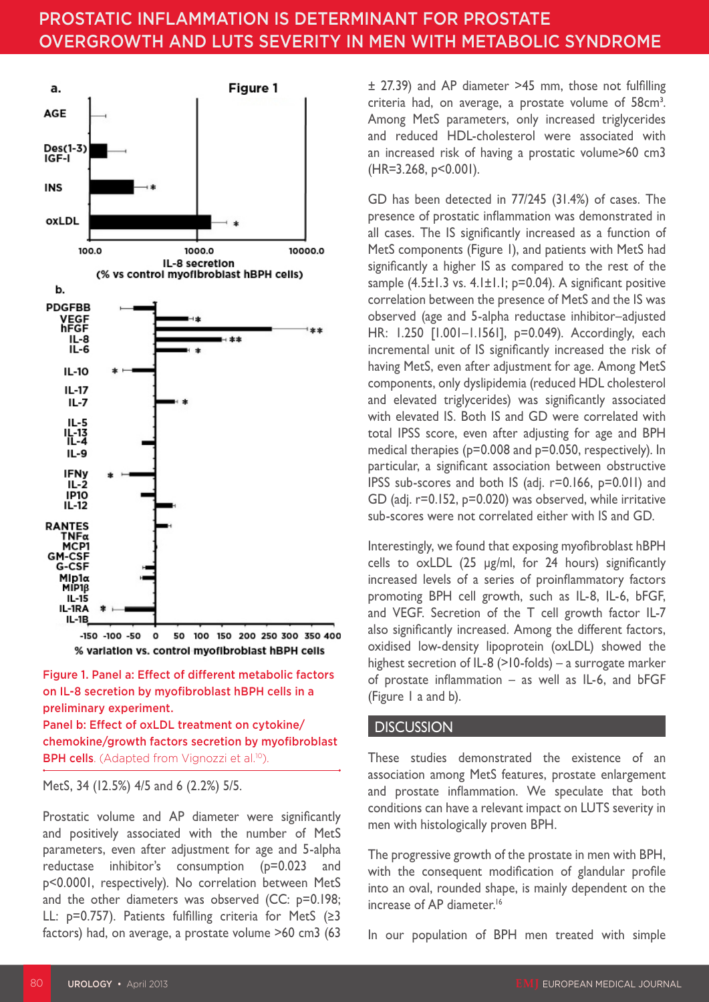## PROSTATIC INFLAMMATION IS DETERMINANT FOR PROSTATE OVERGROWTH AND LUTS SEVERITY IN MEN WITH METABOLIC SYNDROME



Figure 1. Panel a: Effect of different metabolic factors on IL-8 secretion by myofibroblast hBPH cells in a preliminary experiment.

Panel b: Effect of oxLDL treatment on cytokine/ chemokine/growth factors secretion by myofibroblast BPH cells. (Adapted from Vignozzi et al.<sup>10</sup>).

MetS, 34 (12.5%) 4/5 and 6 (2.2%) 5/5.

Prostatic volume and AP diameter were significantly and positively associated with the number of MetS parameters, even after adjustment for age and 5-alpha reductase inhibitor's consumption (p=0.023 and p<0.0001, respectively). No correlation between MetS and the other diameters was observed (CC: p=0.198; LL: p=0.757). Patients fulfilling criteria for MetS (≥3 factors) had, on average, a prostate volume >60 cm3 (63

± 27.39) and AP diameter >45 mm, those not fulfilling criteria had, on average, a prostate volume of 58cm<sup>3</sup>. Among MetS parameters, only increased triglycerides and reduced HDL-cholesterol were associated with an increased risk of having a prostatic volume>60 cm3 (HR=3.268, p<0.001).

GD has been detected in 77/245 (31.4%) of cases. The presence of prostatic inflammation was demonstrated in all cases. The IS significantly increased as a function of MetS components (Figure 1), and patients with MetS had significantly a higher IS as compared to the rest of the sample  $(4.5\pm1.3 \text{ vs. } 4.1\pm1.1; \text{ p=0.04}).$  A significant positive correlation between the presence of MetS and the IS was observed (age and 5-alpha reductase inhibitor–adjusted HR: 1.250 [1.001–1.1561], p=0.049). Accordingly, each incremental unit of IS significantly increased the risk of having MetS, even after adjustment for age. Among MetS components, only dyslipidemia (reduced HDL cholesterol and elevated triglycerides) was significantly associated with elevated IS. Both IS and GD were correlated with total IPSS score, even after adjusting for age and BPH medical therapies (p=0.008 and p=0.050, respectively). In particular, a significant association between obstructive IPSS sub-scores and both IS (adj. r=0.166, p=0.011) and GD (adj. r=0.152, p=0.020) was observed, while irritative sub-scores were not correlated either with IS and GD.

Interestingly, we found that exposing myofibroblast hBPH cells to oxLDL (25 μg/ml, for 24 hours) significantly increased levels of a series of proinflammatory factors promoting BPH cell growth, such as IL-8, IL-6, bFGF, and VEGF. Secretion of the T cell growth factor IL-7 also significantly increased. Among the different factors, oxidised low-density lipoprotein (oxLDL) showed the highest secretion of IL-8 (>10-folds) – a surrogate marker of prostate inflammation – as well as IL-6, and bFGF (Figure 1 a and b).

#### **DISCUSSION**

These studies demonstrated the existence of an association among MetS features, prostate enlargement and prostate inflammation. We speculate that both conditions can have a relevant impact on LUTS severity in men with histologically proven BPH.

The progressive growth of the prostate in men with BPH, with the consequent modification of glandular profile into an oval, rounded shape, is mainly dependent on the increase of AP diameter.<sup>16</sup>

In our population of BPH men treated with simple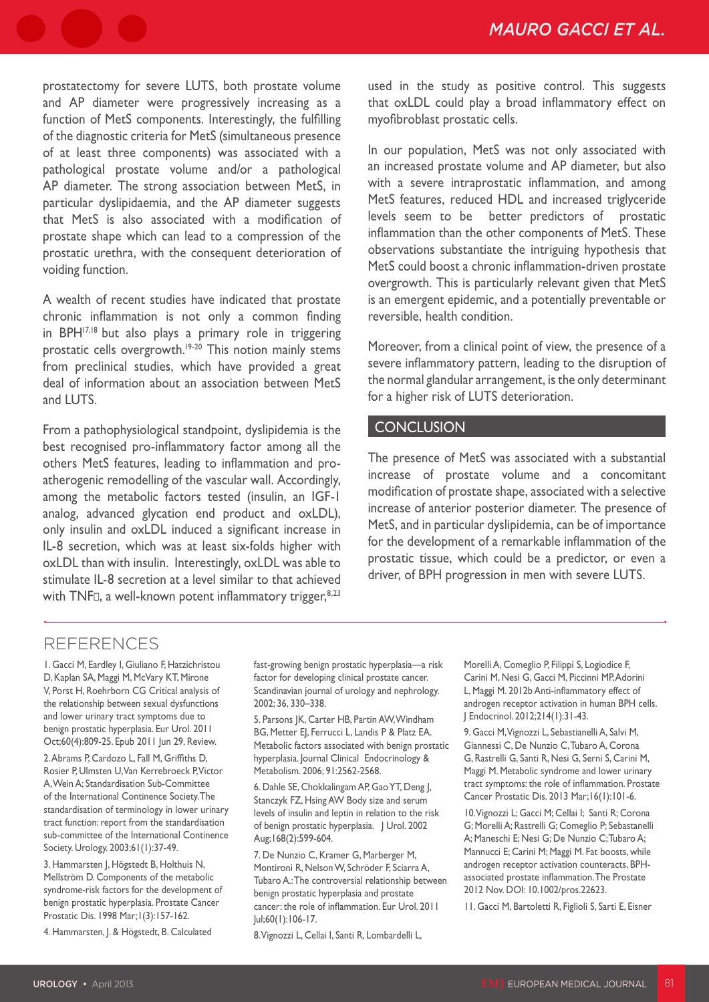prostatectomy for severe LUTS, both prostate volume and AP diameter were progressively increasing as a function of MetS components. Interestingly, the fulfilling of the diagnostic criteria for MetS (simultaneous presence of at least three components) was associated with a pathological prostate volume and/or a pathological AP diameter. The strong association between MetS, in particular dyslipidaemia, and the AP diameter suggests that MetS is also associated with a modification of prostate shape which can lead to a compression of the prostatic urethra, with the consequent deterioration of voiding function.

A wealth of recent studies have indicated that prostate chronic inflammation is not only a common finding in BPH<sup>17,18</sup> but also plays a primary role in triggering prostatic cells overgrowth.<sup>19-20</sup> This notion mainly stems from preclinical studies, which have provided a great deal of information about an association between MetS and LUTS.

From a pathophysiological standpoint, dyslipidemia is the best recognised pro-inflammatory factor among all the others MetS features, leading to inflammation and proatherogenic remodelling of the vascular wall. Accordingly, among the metabolic factors tested (insulin, an IGF-1 analog, advanced glycation end product and oxLDL), only insulin and oxLDL induced a significant increase in IL-8 secretion, which was at least six-folds higher with oxLDL than with insulin. Interestingly, oxLDL was able to stimulate IL-8 secretion at a level similar to that achieved with TNF, a well-known potent inflammatory trigger, $8,23$  used in the study as positive control. This suggests that oxLDL could play a broad inflammatory effect on myofibroblast prostatic cells.

In our population, MetS was not only associated with an increased prostate volume and AP diameter, but also with a severe intraprostatic inflammation, and among MetS features, reduced HDL and increased triglyceride levels seem to be better predictors of prostatic inflammation than the other components of MetS. These observations substantiate the intriguing hypothesis that MetS could boost a chronic inflammation-driven prostate overgrowth. This is particularly relevant given that MetS is an emergent epidemic, and a potentially preventable or reversible, health condition.

Moreover, from a clinical point of view, the presence of a severe inflammatory pattern, leading to the disruption of the normal glandular arrangement, is the only determinant for a higher risk of LUTS deterioration.

#### **CONCLUSION**

The presence of MetS was associated with a substantial increase of prostate volume and a concomitant modification of prostate shape, associated with a selective increase of anterior posterior diameter. The presence of MetS, and in particular dyslipidemia, can be of importance for the development of a remarkable inflammation of the prostatic tissue, which could be a predictor, or even a driver, of BPH progression in men with severe LUTS.

### REFERENCES

1. Gacci M, Eardley I, Giuliano F, Hatzichristou D, Kaplan SA, Maggi M, McVary KT, Mirone V, Porst H, Roehrborn CG Critical analysis of the relationship between sexual dysfunctions and lower urinary tract symptoms due to benign prostatic hyperplasia. Eur Urol. 2011 Oct;60(4):809-25. Epub 2011 Jun 29. Review.

2. Abrams P, Cardozo L, Fall M, Griffiths D, Rosier P, Ulmsten U, Van Kerrebroeck P, Victor A, Wein A; Standardisation Sub-Committee of the International Continence Society. The standardisation of terminology in lower urinary tract function: report from the standardisation sub-committee of the International Continence Society. Urology. 2003;61(1):37-49.

3. Hammarsten J, Högstedt B, Holthuis N, Mellström D. Components of the metabolic syndrome-risk factors for the development of benign prostatic hyperplasia. Prostate Cancer Prostatic Dis. 1998 Mar;1(3):157-162.

4. Hammarsten, J. & Högstedt, B. Calculated

fast-growing benign prostatic hyperplasia—a risk factor for developing clinical prostate cancer. Scandinavian journal of urology and nephrology. 2002; 36, 330–338.

5. Parsons JK, Carter HB, Partin AW, Windham BG, Metter EJ, Ferrucci L, Landis P & Platz EA. Metabolic factors associated with benign prostatic hyperplasia. Journal Clinical Endocrinology & Metabolism. 2006; 91:2562-2568.

6. Dahle SE, Chokkalingam AP, Gao YT, Deng J, Stanczyk FZ, Hsing AW Body size and serum levels of insulin and leptin in relation to the risk of benign prostatic hyperplasia. | Urol. 2002 Aug;168(2):599-604.

7. De Nunzio C, Kramer G, Marberger M, Montironi R, Nelson W, Schröder F, Sciarra A, Tubaro A.: The controversial relationship between benign prostatic hyperplasia and prostate cancer: the role of inflammation. Eur Urol. 2011 Jul;60(1):106-17.

8. Vignozzi L, Cellai I, Santi R, Lombardelli L,

Morelli A, Comeglio P, Filippi S, Logiodice F, Carini M, Nesi G, Gacci M, Piccinni MP, Adorini L, Maggi M. 2012b Anti-inflammatory effect of androgen receptor activation in human BPH cells. J Endocrinol. 2012;214(1):31-43.

9. Gacci M, Vignozzi L, Sebastianelli A, Salvi M, Giannessi C, De Nunzio C, Tubaro A, Corona G, Rastrelli G, Santi R, Nesi G, Serni S, Carini M, Maggi M. Metabolic syndrome and lower urinary tract symptoms: the role of inflammation. Prostate Cancer Prostatic Dis. 2013 Mar;16(1):101-6.

10. Vignozzi L; Gacci M; Cellai I; Santi R; Corona G; Morelli A; Rastrelli G; Comeglio P; Sebastanelli A; Maneschi E; Nesi G; De Nunzio C; Tubaro A; Mannucci E; Carini M; Maggi M. Fat boosts, while androgen receptor activation counteracts, BPHassociated prostate inflammation. The Prostate 2012 Nov. DOI: 10.1002/pros.22623.

11. Gacci M, Bartoletti R, Figlioli S, Sarti E, Eisner